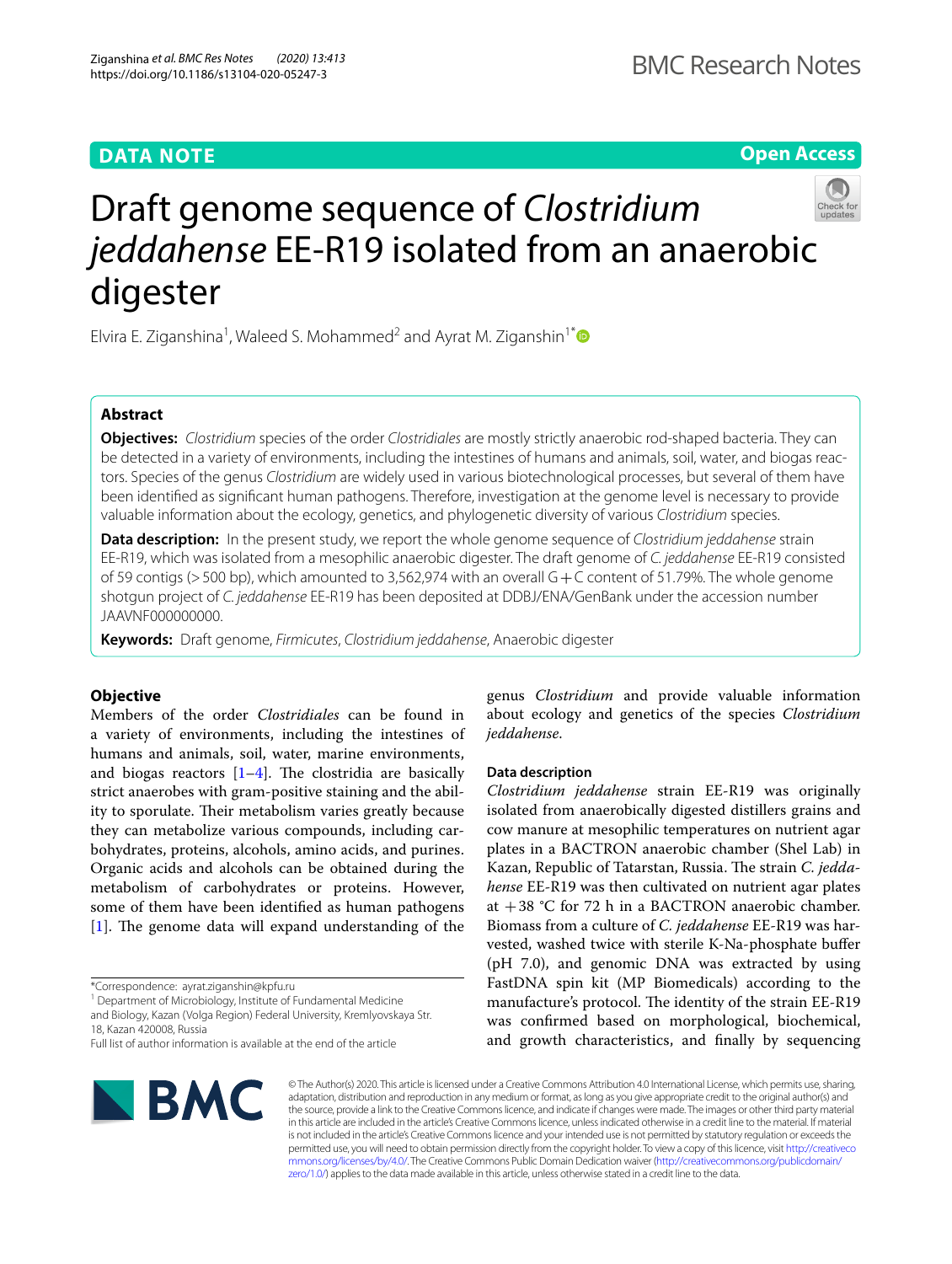# **DATA NOTE**

**Open Access**

# Draft genome sequence of *Clostridium jeddahense* EE-R19 isolated from an anaerobic digester

Elvira E. Ziganshina<sup>1</sup>, Waleed S. Mohammed<sup>2</sup> and Ayrat M. Ziganshin<sup>1[\\*](http://orcid.org/0000-0001-6296-8955)</sup>

# **Abstract**

**Objectives:** *Clostridium* species of the order *Clostridiales* are mostly strictly anaerobic rod-shaped bacteria. They can be detected in a variety of environments, including the intestines of humans and animals, soil, water, and biogas reactors. Species of the genus *Clostridium* are widely used in various biotechnological processes, but several of them have been identifed as signifcant human pathogens. Therefore, investigation at the genome level is necessary to provide valuable information about the ecology, genetics, and phylogenetic diversity of various *Clostridium* species.

**Data description:** In the present study, we report the whole genome sequence of *Clostridium jeddahense* strain EE-R19, which was isolated from a mesophilic anaerobic digester. The draft genome of *C. jeddahense* EE-R19 consisted of 59 contigs (>500 bp), which amounted to 3,562,974 with an overall G+C content of 51.79%. The whole genome shotgun project of *C. jeddahense* EE-R19 has been deposited at DDBJ/ENA/GenBank under the accession number JAAVNF000000000.

**Keywords:** Draft genome, *Firmicutes*, *Clostridium jeddahense*, Anaerobic digester

# **Objective**

Members of the order *Clostridiales* can be found in a variety of environments, including the intestines of humans and animals, soil, water, marine environments, and biogas reactors  $[1-4]$  $[1-4]$ . The clostridia are basically strict anaerobes with gram-positive staining and the ability to sporulate. Their metabolism varies greatly because they can metabolize various compounds, including carbohydrates, proteins, alcohols, amino acids, and purines. Organic acids and alcohols can be obtained during the metabolism of carbohydrates or proteins. However, some of them have been identifed as human pathogens  $[1]$  $[1]$ . The genome data will expand understanding of the

\*Correspondence: ayrat.ziganshin@kpfu.ru

<sup>1</sup> Department of Microbiology, Institute of Fundamental Medicine and Biology, Kazan (Volga Region) Federal University, Kremlyovskaya Str. 18, Kazan 420008, Russia

genus *Clostridium* and provide valuable information about ecology and genetics of the species *Clostridium jeddahense*.

## **Data description**

*Clostridium jeddahense* strain EE-R19 was originally isolated from anaerobically digested distillers grains and cow manure at mesophilic temperatures on nutrient agar plates in a BACTRON anaerobic chamber (Shel Lab) in Kazan, Republic of Tatarstan, Russia. The strain *C. jeddahense* EE-R19 was then cultivated on nutrient agar plates at  $+38$  °C for 72 h in a BACTRON anaerobic chamber. Biomass from a culture of *C. jeddahense* EE-R19 was harvested, washed twice with sterile K-Na-phosphate bufer (pH 7.0), and genomic DNA was extracted by using FastDNA spin kit (MP Biomedicals) according to the manufacture's protocol. The identity of the strain EE-R19 was confrmed based on morphological, biochemical, and growth characteristics, and fnally by sequencing



© The Author(s) 2020. This article is licensed under a Creative Commons Attribution 4.0 International License, which permits use, sharing, adaptation, distribution and reproduction in any medium or format, as long as you give appropriate credit to the original author(s) and the source, provide a link to the Creative Commons licence, and indicate if changes were made. The images or other third party material in this article are included in the article's Creative Commons licence, unless indicated otherwise in a credit line to the material. If material is not included in the article's Creative Commons licence and your intended use is not permitted by statutory regulation or exceeds the permitted use, you will need to obtain permission directly from the copyright holder. To view a copy of this licence, visit [http://creativeco](http://creativecommons.org/licenses/by/4.0/) [mmons.org/licenses/by/4.0/.](http://creativecommons.org/licenses/by/4.0/) The Creative Commons Public Domain Dedication waiver ([http://creativecommons.org/publicdomain/](http://creativecommons.org/publicdomain/zero/1.0/) [zero/1.0/\)](http://creativecommons.org/publicdomain/zero/1.0/) applies to the data made available in this article, unless otherwise stated in a credit line to the data.

Full list of author information is available at the end of the article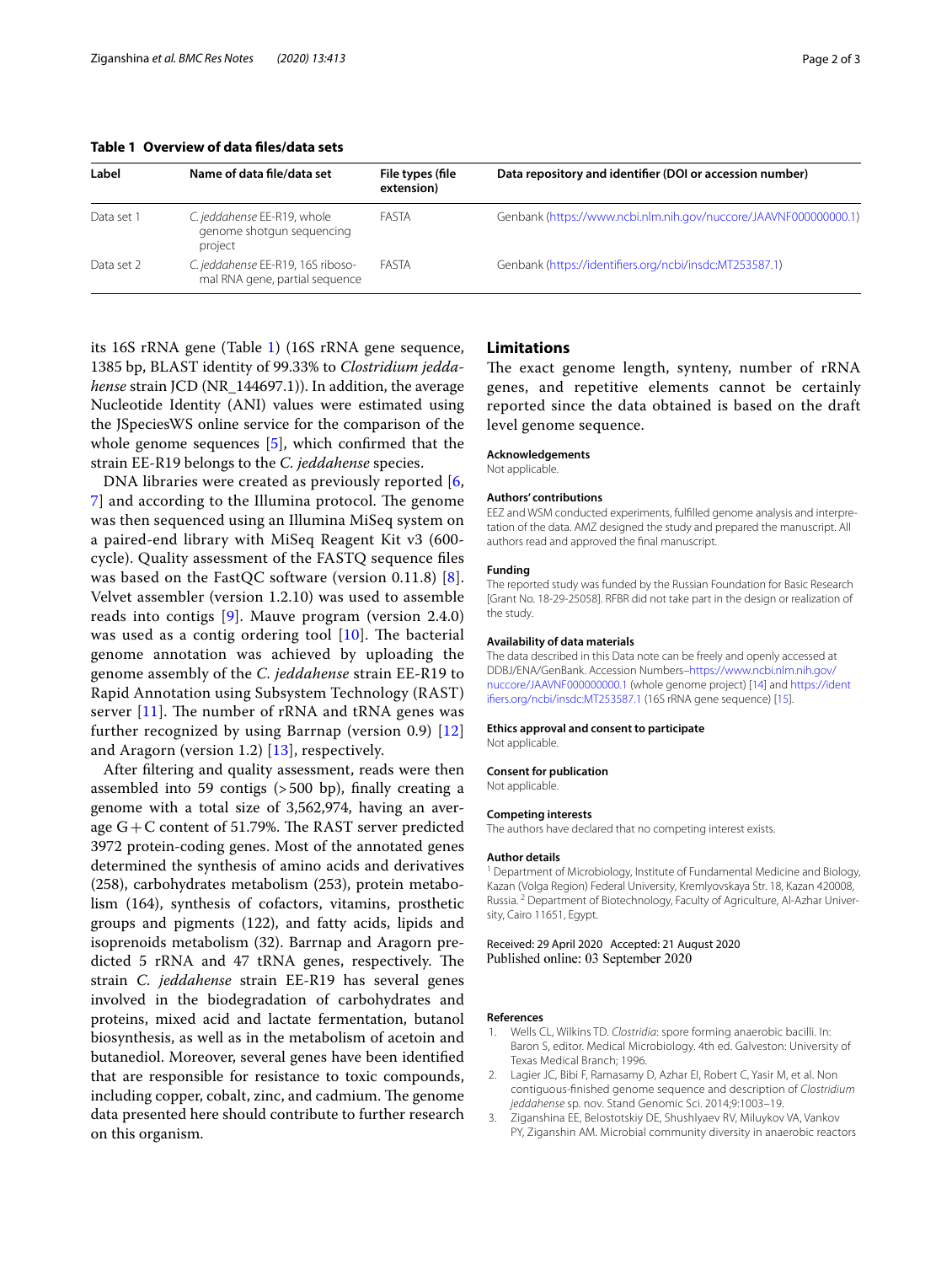<span id="page-1-1"></span>**Table 1 Overview of data fles/data sets**

| Label      | Name of data file/data set                                          | File types (file<br>extension) | Data repository and identifier (DOI or accession number)         |
|------------|---------------------------------------------------------------------|--------------------------------|------------------------------------------------------------------|
| Data set 1 | C. jeddahense EE-R19, whole<br>genome shotgun sequencing<br>project | FASTA                          | Genbank (https://www.ncbi.nlm.nih.gov/nuccore/JAAVNF000000000.1) |
| Data set 2 | C. jeddahense EE-R19, 16S riboso-<br>mal RNA gene, partial sequence | FASTA                          | Genbank (https://identifiers.org/ncbi/insdc:MT253587.1)          |

its 16S rRNA gene (Table [1](#page-1-1)) (16S rRNA gene sequence, 1385 bp, BLAST identity of 99.33% to *Clostridium jeddahense* strain JCD (NR\_144697.1)). In addition, the average Nucleotide Identity (ANI) values were estimated using the JSpeciesWS online service for the comparison of the whole genome sequences [\[5](#page-2-1)], which confrmed that the strain EE-R19 belongs to the *C. jeddahense* species.

DNA libraries were created as previously reported [\[6](#page-2-2), [7\]](#page-2-3) and according to the Illumina protocol. The genome was then sequenced using an Illumina MiSeq system on a paired-end library with MiSeq Reagent Kit v3 (600 cycle). Quality assessment of the FASTQ sequence fles was based on the FastQC software (version 0.11.8) [[8\]](#page-2-4). Velvet assembler (version 1.2.10) was used to assemble reads into contigs [[9\]](#page-2-5). Mauve program (version 2.4.0) was used as a contig ordering tool  $[10]$  $[10]$  $[10]$ . The bacterial genome annotation was achieved by uploading the genome assembly of the *C. jeddahense* strain EE-R19 to Rapid Annotation using Subsystem Technology (RAST) server  $[11]$  $[11]$  $[11]$ . The number of rRNA and tRNA genes was further recognized by using Barrnap (version 0.9) [\[12](#page-2-8)] and Aragorn (version 1.2) [[13\]](#page-2-9), respectively.

After fltering and quality assessment, reads were then assembled into 59 contigs (>500 bp), fnally creating a genome with a total size of 3,562,974, having an average  $G+C$  content of 51.79%. The RAST server predicted 3972 protein-coding genes. Most of the annotated genes determined the synthesis of amino acids and derivatives (258), carbohydrates metabolism (253), protein metabolism (164), synthesis of cofactors, vitamins, prosthetic groups and pigments (122), and fatty acids, lipids and isoprenoids metabolism (32). Barrnap and Aragorn predicted 5 rRNA and 47 tRNA genes, respectively. The strain *C. jeddahense* strain EE-R19 has several genes involved in the biodegradation of carbohydrates and proteins, mixed acid and lactate fermentation, butanol biosynthesis, as well as in the metabolism of acetoin and butanediol. Moreover, several genes have been identifed that are responsible for resistance to toxic compounds, including copper, cobalt, zinc, and cadmium. The genome data presented here should contribute to further research on this organism.

# **Limitations**

The exact genome length, synteny, number of rRNA genes, and repetitive elements cannot be certainly reported since the data obtained is based on the draft level genome sequence.

#### **Acknowledgements**

Not applicable.

#### **Authors' contributions**

EEZ and WSM conducted experiments, fulflled genome analysis and interpretation of the data. AMZ designed the study and prepared the manuscript. All authors read and approved the fnal manuscript.

#### **Funding**

The reported study was funded by the Russian Foundation for Basic Research [Grant No. 18-29-25058]. RFBR did not take part in the design or realization of the study.

## **Availability of data materials**

The data described in this Data note can be freely and openly accessed at DDBJ/ENA/GenBank. Accession Numbers[–https://www.ncbi.nlm.nih.gov/](https://www.ncbi.nlm.nih.gov/nuccore/JAAVNF000000000.1) [nuccore/JAAVNF000000000.1](https://www.ncbi.nlm.nih.gov/nuccore/JAAVNF000000000.1) (whole genome project) [[14](#page-2-10)] and [https://ident](https://identifiers.org/ncbi/insdc:MT253587.1) [ifers.org/ncbi/insdc:MT253587.1](https://identifiers.org/ncbi/insdc:MT253587.1) (16S rRNA gene sequence) [\[15\]](#page-2-11).

#### **Ethics approval and consent to participate**

Not applicable.

#### **Consent for publication**

Not applicable.

#### **Competing interests**

The authors have declared that no competing interest exists.

#### **Author details**

<sup>1</sup> Department of Microbiology, Institute of Fundamental Medicine and Biology, Kazan (Volga Region) Federal University, Kremlyovskaya Str. 18, Kazan 420008, Russia. <sup>2</sup> Department of Biotechnology, Faculty of Agriculture, Al-Azhar University, Cairo 11651, Egypt.

## Received: 29 April 2020 Accepted: 21 August 2020 Published online: 03 September 2020

### **References**

- <span id="page-1-0"></span>1. Wells CL, Wilkins TD. *Clostridia*: spore forming anaerobic bacilli. In: Baron S, editor. Medical Microbiology. 4th ed. Galveston: University of Texas Medical Branch; 1996.
- 2. Lagier JC, Bibi F, Ramasamy D, Azhar EI, Robert C, Yasir M, et al. Non contiguous-fnished genome sequence and description of *Clostridium jeddahense* sp. nov. Stand Genomic Sci. 2014;9:1003–19.
- 3. Ziganshina EE, Belostotskiy DE, Shushlyaev RV, Miluykov VA, Vankov PY, Ziganshin AM. Microbial community diversity in anaerobic reactors